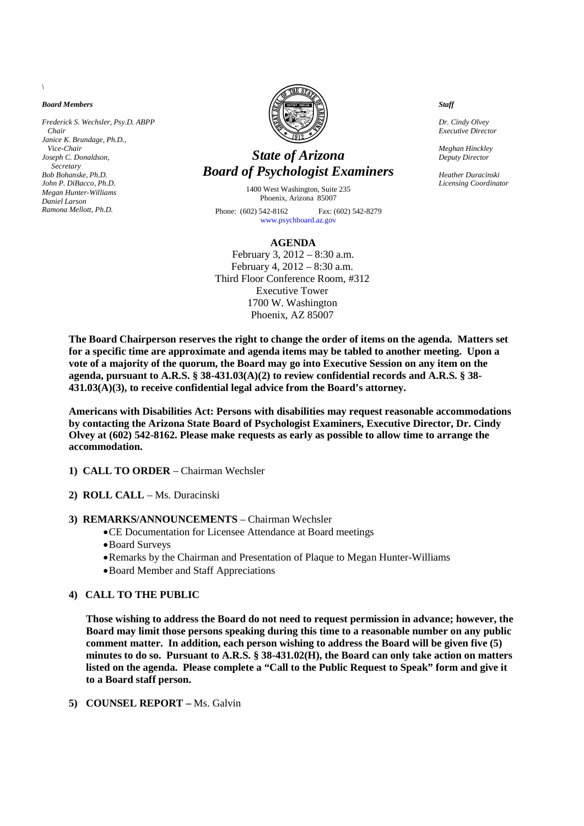*Board Members*

*Frederick S. Wechsler, Psy.D. ABPP Chair Janice K. Brundage, Ph.D., Vice-Chair Joseph C. Donaldson, Secretary Bob Bohanske, Ph.D. John P. DiBacco, Ph.D. Megan Hunter-Williams Daniel Larson Ramona Mellott, Ph.D.*



# *State of Arizona Board of Psychologist Examiners*

1400 West Washington, Suite 235 Phoenix, Arizona 85007 Phone: (602) 542-8162 Fax: (602) 542-8279 www.psychboard.az.gov

#### **AGENDA**

February 3, 2012 – 8:30 a.m. February 4, 2012 – 8:30 a.m. Third Floor Conference Room, #312 Executive Tower 1700 W. Washington Phoenix, AZ 85007

*Staff*

*Dr. Cindy Olvey Executive Director*

*Meghan Hinckley Deputy Director*

*Heather Duracinski Licensing Coordinator*

**The Board Chairperson reserves the right to change the order of items on the agenda. Matters set for a specific time are approximate and agenda items may be tabled to another meeting. Upon a vote of a majority of the quorum, the Board may go into Executive Session on any item on the agenda, pursuant to A.R.S. § 38-431.03(A)(2) to review confidential records and A.R.S. § 38- 431.03(A)(3), to receive confidential legal advice from the Board's attorney.**

**Americans with Disabilities Act: Persons with disabilities may request reasonable accommodations by contacting the Arizona State Board of Psychologist Examiners, Executive Director, Dr. Cindy Olvey at (602) 542-8162. Please make requests as early as possible to allow time to arrange the accommodation.**

- **1) CALL TO ORDER** Chairman Wechsler
- **2) ROLL CALL** Ms. Duracinski
- **3) REMARKS/ANNOUNCEMENTS** Chairman Wechsler
	- CE Documentation for Licensee Attendance at Board meetings
	- Board Surveys
	- Remarks by the Chairman and Presentation of Plaque to Megan Hunter-Williams
	- Board Member and Staff Appreciations

## **4) CALL TO THE PUBLIC**

**Those wishing to address the Board do not need to request permission in advance; however, the Board may limit those persons speaking during this time to a reasonable number on any public comment matter. In addition, each person wishing to address the Board will be given five (5) minutes to do so. Pursuant to A.R.S. § 38-431.02(H), the Board can only take action on matters listed on the agenda. Please complete a "Call to the Public Request to Speak" form and give it to a Board staff person.**

#### **5) COUNSEL REPORT –** Ms. Galvin

*\*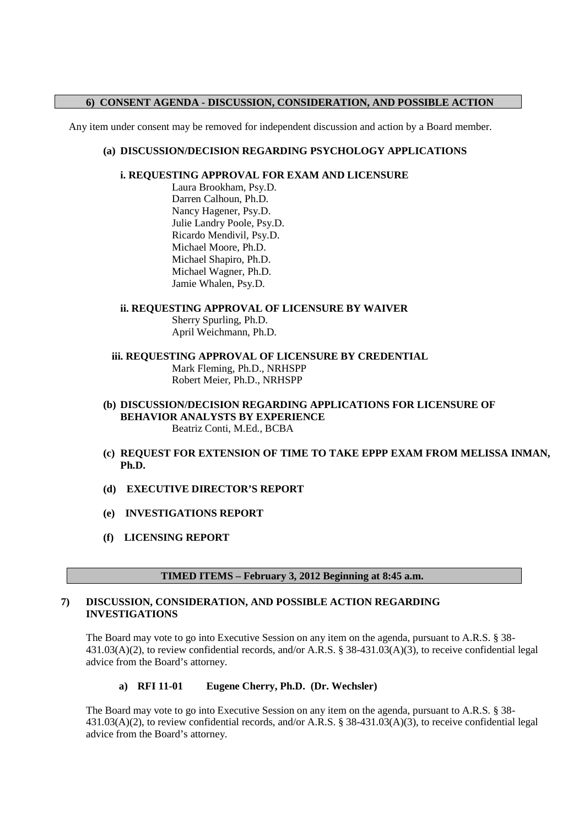## **6) CONSENT AGENDA - DISCUSSION, CONSIDERATION, AND POSSIBLE ACTION**

Any item under consent may be removed for independent discussion and action by a Board member.

## **(a) DISCUSSION/DECISION REGARDING PSYCHOLOGY APPLICATIONS**

## **i. REQUESTING APPROVAL FOR EXAM AND LICENSURE**

Laura Brookham, Psy.D. Darren Calhoun, Ph.D. Nancy Hagener, Psy.D. Julie Landry Poole, Psy.D. Ricardo Mendivil, Psy.D. Michael Moore, Ph.D. Michael Shapiro, Ph.D. Michael Wagner, Ph.D. Jamie Whalen, Psy.D.

# **ii. REQUESTING APPROVAL OF LICENSURE BY WAIVER**

Sherry Spurling, Ph.D. April Weichmann, Ph.D.

**iii. REQUESTING APPROVAL OF LICENSURE BY CREDENTIAL** Mark Fleming, Ph.D., NRHSPP Robert Meier, Ph.D., NRHSPP

## **(b) DISCUSSION/DECISION REGARDING APPLICATIONS FOR LICENSURE OF BEHAVIOR ANALYSTS BY EXPERIENCE** Beatriz Conti, M.Ed., BCBA

- **(c) REQUEST FOR EXTENSION OF TIME TO TAKE EPPP EXAM FROM MELISSA INMAN, Ph.D.**
- **(d) EXECUTIVE DIRECTOR'S REPORT**
- **(e) INVESTIGATIONS REPORT**
- **(f) LICENSING REPORT**

## **TIMED ITEMS – February 3, 2012 Beginning at 8:45 a.m.**

## **7) DISCUSSION, CONSIDERATION, AND POSSIBLE ACTION REGARDING INVESTIGATIONS**

The Board may vote to go into Executive Session on any item on the agenda, pursuant to A.R.S. § 38-431.03(A)(2), to review confidential records, and/or A.R.S. § 38-431.03(A)(3), to receive confidential legal advice from the Board's attorney.

## **a) RFI 11-01 Eugene Cherry, Ph.D. (Dr. Wechsler)**

The Board may vote to go into Executive Session on any item on the agenda, pursuant to A.R.S. § 38- 431.03(A)(2), to review confidential records, and/or A.R.S. § 38-431.03(A)(3), to receive confidential legal advice from the Board's attorney.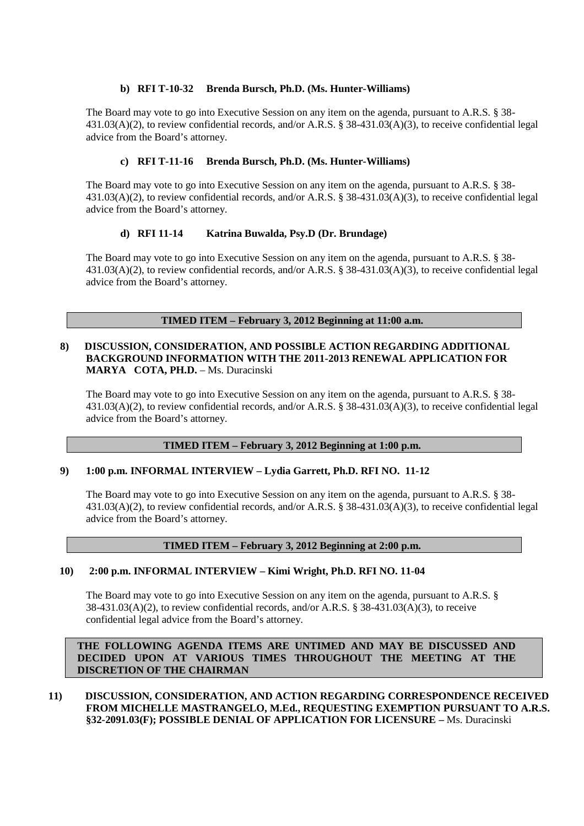## **b) RFI T-10-32 Brenda Bursch, Ph.D. (Ms. Hunter-Williams)**

The Board may vote to go into Executive Session on any item on the agenda, pursuant to A.R.S. § 38-431.03(A)(2), to review confidential records, and/or A.R.S. § 38-431.03(A)(3), to receive confidential legal advice from the Board's attorney.

## **c) RFI T-11-16 Brenda Bursch, Ph.D. (Ms. Hunter-Williams)**

The Board may vote to go into Executive Session on any item on the agenda, pursuant to A.R.S. § 38- 431.03(A)(2), to review confidential records, and/or A.R.S. § 38-431.03(A)(3), to receive confidential legal advice from the Board's attorney.

## **d) RFI 11-14 Katrina Buwalda, Psy.D (Dr. Brundage)**

The Board may vote to go into Executive Session on any item on the agenda, pursuant to A.R.S. § 38-431.03(A)(2), to review confidential records, and/or A.R.S. § 38-431.03(A)(3), to receive confidential legal advice from the Board's attorney.

## **TIMED ITEM – February 3, 2012 Beginning at 11:00 a.m.**

#### **8) DISCUSSION, CONSIDERATION, AND POSSIBLE ACTION REGARDING ADDITIONAL BACKGROUND INFORMATION WITH THE 2011-2013 RENEWAL APPLICATION FOR MARYA COTA, PH.D.** – Ms. Duracinski

The Board may vote to go into Executive Session on any item on the agenda, pursuant to A.R.S. § 38- 431.03(A)(2), to review confidential records, and/or A.R.S. § 38-431.03(A)(3), to receive confidential legal advice from the Board's attorney.

## **TIMED ITEM – February 3, 2012 Beginning at 1:00 p.m.**

## **9) 1:00 p.m. INFORMAL INTERVIEW – Lydia Garrett, Ph.D. RFI NO. 11-12**

The Board may vote to go into Executive Session on any item on the agenda, pursuant to A.R.S. § 38- 431.03(A)(2), to review confidential records, and/or A.R.S. § 38-431.03(A)(3), to receive confidential legal advice from the Board's attorney.

## **TIMED ITEM – February 3, 2012 Beginning at 2:00 p.m.**

## **10) 2:00 p.m. INFORMAL INTERVIEW – Kimi Wright, Ph.D. RFI NO. 11-04**

The Board may vote to go into Executive Session on any item on the agenda, pursuant to A.R.S. §  $38-431.03(A)(2)$ , to review confidential records, and/or A.R.S. §  $38-431.03(A)(3)$ , to receive confidential legal advice from the Board's attorney.

**THE FOLLOWING AGENDA ITEMS ARE UNTIMED AND MAY BE DISCUSSED AND DECIDED UPON AT VARIOUS TIMES THROUGHOUT THE MEETING AT THE DISCRETION OF THE CHAIRMAN**

**11) DISCUSSION, CONSIDERATION, AND ACTION REGARDING CORRESPONDENCE RECEIVED FROM MICHELLE MASTRANGELO, M.Ed., REQUESTING EXEMPTION PURSUANT TO A.R.S. §32-2091.03(F); POSSIBLE DENIAL OF APPLICATION FOR LICENSURE –** Ms. Duracinski